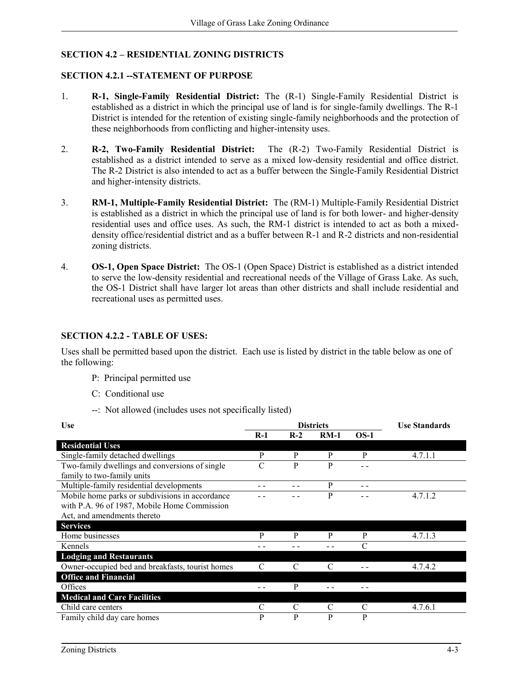# **SECTION 4.2 – RESIDENTIAL ZONING DISTRICTS**

#### **SECTION 4.2.1 --STATEMENT OF PURPOSE**

- 1. **R-1, Single-Family Residential District:** The (R-1) Single-Family Residential District is established as a district in which the principal use of land is for single-family dwellings. The R-1 District is intended for the retention of existing single-family neighborhoods and the protection of these neighborhoods from conflicting and higher-intensity uses.
- 2. **R-2, Two-Family Residential District:** The (R-2) Two-Family Residential District is established as a district intended to serve as a mixed low-density residential and office district. The R-2 District is also intended to act as a buffer between the Single-Family Residential District and higher-intensity districts.
- 3. **RM-1, Multiple-Family Residential District:** The (RM-1) Multiple-Family Residential District is established as a district in which the principal use of land is for both lower- and higher-density residential uses and office uses. As such, the RM-1 district is intended to act as both a mixeddensity office/residential district and as a buffer between R-1 and R-2 districts and non-residential zoning districts.
- 4. **OS-1, Open Space District:** The OS-1 (Open Space) District is established as a district intended to serve the low-density residential and recreational needs of the Village of Grass Lake. As such, the OS-1 District shall have larger lot areas than other districts and shall include residential and recreational uses as permitted uses.

### **SECTION 4.2.2 - TABLE OF USES:**

Uses shall be permitted based upon the district. Each use is listed by district in the table below as one of the following:

- P: Principal permitted use
- C: Conditional use
- --: Not allowed (includes uses not specifically listed)

| <b>Use</b>                                       |       | <b>Districts</b> | <b>Use Standards</b> |        |         |
|--------------------------------------------------|-------|------------------|----------------------|--------|---------|
|                                                  | $R-1$ | $R-2$            | $RM-1$               | $OS-1$ |         |
| <b>Residential Uses</b>                          |       |                  |                      |        |         |
| Single-family detached dwellings                 | P     | P                | P                    | P      | 4.7.1.1 |
| Two-family dwellings and conversions of single   | C     | P                | P                    |        |         |
| family to two-family units                       |       |                  |                      |        |         |
| Multiple-family residential developments         |       |                  | P                    | - -    |         |
| Mobile home parks or subdivisions in accordance  |       |                  | P                    |        | 4.7.1.2 |
| with P.A. 96 of 1987, Mobile Home Commission     |       |                  |                      |        |         |
| Act, and amendments thereto                      |       |                  |                      |        |         |
| <b>Services</b>                                  |       |                  |                      |        |         |
| Home businesses                                  | P     | P                | P                    | P      | 4.7.1.3 |
| Kennels                                          |       |                  |                      | C      |         |
| <b>Lodging and Restaurants</b>                   |       |                  |                      |        |         |
| Owner-occupied bed and breakfasts, tourist homes |       | C                |                      |        | 4.7.4.2 |
| <b>Office and Financial</b>                      |       |                  |                      |        |         |
| Offices                                          |       | P                |                      |        |         |
| <b>Medical and Care Facilities</b>               |       |                  |                      |        |         |
| Child care centers                               |       | C                |                      |        | 4.7.6.1 |
| Family child day care homes                      | P     | P                | P                    | P      |         |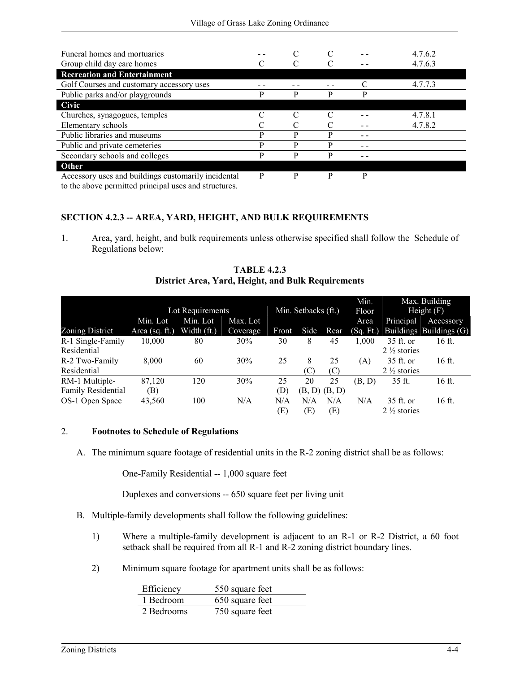| Funeral homes and mortuaries                        |   |   |   |   | 4.7.6.2 |
|-----------------------------------------------------|---|---|---|---|---------|
| Group child day care homes                          |   |   |   |   | 4.7.6.3 |
| <b>Recreation and Entertainment</b>                 |   |   |   |   |         |
| Golf Courses and customary accessory uses           |   |   |   |   | 4.7.7.3 |
| Public parks and/or playgrounds                     | D | D | D | D |         |
| Civic                                               |   |   |   |   |         |
| Churches, synagogues, temples                       |   |   |   |   | 4.7.8.1 |
| Elementary schools                                  |   |   |   |   | 4.7.8.2 |
| Public libraries and museums                        | D | p | D |   |         |
| Public and private cemeteries                       | P | P | P |   |         |
| Secondary schools and colleges                      | D | р | р |   |         |
| Other                                               |   |   |   |   |         |
| Accessory uses and buildings customarily incidental | P | P | P | P |         |

to the above permitted principal uses and structures.

## **SECTION 4.2.3 -- AREA, YARD, HEIGHT, AND BULK REQUIREMENTS**

1. Area, yard, height, and bulk requirements unless otherwise specified shall follow the Schedule of Regulations below:

|                           |                   |                  |          |       |                     |        | Min.      |                        | Max. Building           |
|---------------------------|-------------------|------------------|----------|-------|---------------------|--------|-----------|------------------------|-------------------------|
|                           |                   | Lot Requirements |          |       | Min. Setbacks (ft.) |        | Floor     |                        | Height $(F)$            |
|                           | Min. Lot          | Min. Lot         | Max. Lot |       |                     |        | Area      | Principal              | Accessory               |
| Zoning District           | Area (sq. $ft.$ ) | Width $(ft.)$    | Coverage | Front | Side                | Rear   | (Sq. Ft.) |                        | Buildings Buildings (G) |
| R-1 Single-Family         | 10,000            | 80               | 30%      | 30    | 8                   | 45     | 1,000     | 35 ft. or              | 16 ft.                  |
| Residential               |                   |                  |          |       |                     |        |           | $2\frac{1}{2}$ stories |                         |
| R-2 Two-Family            | 8,000             | 60               | 30%      | 25    | 8                   | 25     | (A)       | $35$ ft. or            | 16 ft.                  |
| Residential               |                   |                  |          |       | (C)                 | (C)    |           | $2\frac{1}{2}$ stories |                         |
| RM-1 Multiple-            | 87,120            | 120              | 30%      | 25    | 20                  | 25     | (B, D)    | 35 ft.                 | 16 ft.                  |
| <b>Family Residential</b> | (B)               |                  |          | (D)   | (B, D)              | (B, D) |           |                        |                         |
| OS-1 Open Space           | 43,560            | 100              | N/A      | N/A   | N/A                 | N/A    | N/A       | 35 ft. or              | 16 ft.                  |
|                           |                   |                  |          | (E)   | (E)                 | Œ)     |           | $2\frac{1}{2}$ stories |                         |

**TABLE 4.2.3 District Area, Yard, Height, and Bulk Requirements**

#### 2. **Footnotes to Schedule of Regulations**

A. The minimum square footage of residential units in the R-2 zoning district shall be as follows:

One-Family Residential -- 1,000 square feet

Duplexes and conversions -- 650 square feet per living unit

- B. Multiple-family developments shall follow the following guidelines:
	- 1) Where a multiple-family development is adjacent to an R-1 or R-2 District, a 60 foot setback shall be required from all R-1 and R-2 zoning district boundary lines.
	- 2) Minimum square footage for apartment units shall be as follows:

| Efficiency | 550 square feet |
|------------|-----------------|
| 1 Bedroom  | 650 square feet |
| 2 Bedrooms | 750 square feet |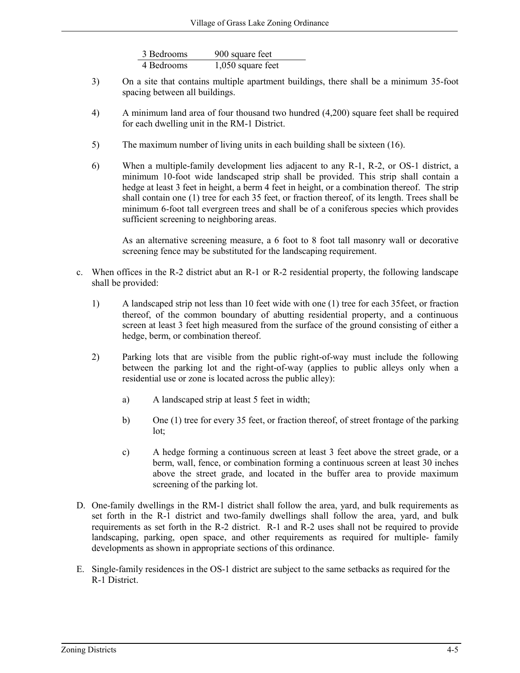| 3 Bedrooms | 900 square feet     |
|------------|---------------------|
| 4 Bedrooms | $1,050$ square feet |

- 3) On a site that contains multiple apartment buildings, there shall be a minimum 35-foot spacing between all buildings.
- 4) A minimum land area of four thousand two hundred (4,200) square feet shall be required for each dwelling unit in the RM-1 District.
- 5) The maximum number of living units in each building shall be sixteen (16).
- 6) When a multiple-family development lies adjacent to any R-1, R-2, or OS-1 district, a minimum 10-foot wide landscaped strip shall be provided. This strip shall contain a hedge at least 3 feet in height, a berm 4 feet in height, or a combination thereof. The strip shall contain one (1) tree for each 35 feet, or fraction thereof, of its length. Trees shall be minimum 6-foot tall evergreen trees and shall be of a coniferous species which provides sufficient screening to neighboring areas.

As an alternative screening measure, a 6 foot to 8 foot tall masonry wall or decorative screening fence may be substituted for the landscaping requirement.

- c. When offices in the R-2 district abut an R-1 or R-2 residential property, the following landscape shall be provided:
	- 1) A landscaped strip not less than 10 feet wide with one (1) tree for each 35feet, or fraction thereof, of the common boundary of abutting residential property, and a continuous screen at least 3 feet high measured from the surface of the ground consisting of either a hedge, berm, or combination thereof.
	- 2) Parking lots that are visible from the public right-of-way must include the following between the parking lot and the right-of-way (applies to public alleys only when a residential use or zone is located across the public alley):
		- a) A landscaped strip at least 5 feet in width;
		- b) One (1) tree for every 35 feet, or fraction thereof, of street frontage of the parking lot;
		- c) A hedge forming a continuous screen at least 3 feet above the street grade, or a berm, wall, fence, or combination forming a continuous screen at least 30 inches above the street grade, and located in the buffer area to provide maximum screening of the parking lot.
- D. One-family dwellings in the RM-1 district shall follow the area, yard, and bulk requirements as set forth in the R-1 district and two-family dwellings shall follow the area, yard, and bulk requirements as set forth in the R-2 district. R-1 and R-2 uses shall not be required to provide landscaping, parking, open space, and other requirements as required for multiple- family developments as shown in appropriate sections of this ordinance.
- E. Single-family residences in the OS-1 district are subject to the same setbacks as required for the R-1 District.